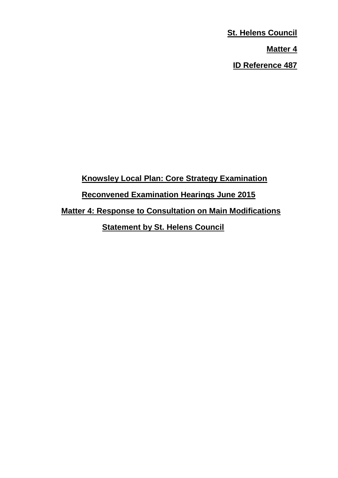**St. Helens Council Matter 4 ID Reference 487**

**Knowsley Local Plan: Core Strategy Examination Reconvened Examination Hearings June 2015 Matter 4: Response to Consultation on Main Modifications Statement by St. Helens Council**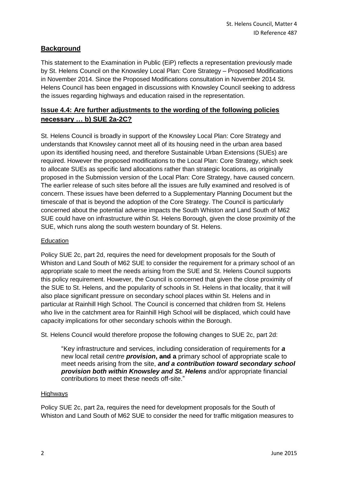## **Background**

This statement to the Examination in Public (EiP) reflects a representation previously made by St. Helens Council on the Knowsley Local Plan: Core Strategy – Proposed Modifications in November 2014. Since the Proposed Modifications consultation in November 2014 St. Helens Council has been engaged in discussions with Knowsley Council seeking to address the issues regarding highways and education raised in the representation.

## **Issue 4.4: Are further adjustments to the wording of the following policies necessary … b) SUE 2a-2C?**

St. Helens Council is broadly in support of the Knowsley Local Plan: Core Strategy and understands that Knowsley cannot meet all of its housing need in the urban area based upon its identified housing need, and therefore Sustainable Urban Extensions (SUEs) are required. However the proposed modifications to the Local Plan: Core Strategy, which seek to allocate SUEs as specific land allocations rather than strategic locations, as originally proposed in the Submission version of the Local Plan: Core Strategy, have caused concern. The earlier release of such sites before all the issues are fully examined and resolved is of concern. These issues have been deferred to a Supplementary Planning Document but the timescale of that is beyond the adoption of the Core Strategy. The Council is particularly concerned about the potential adverse impacts the South Whiston and Land South of M62 SUE could have on infrastructure within St. Helens Borough, given the close proximity of the SUE, which runs along the south western boundary of St. Helens.

## **Education**

Policy SUE 2c, part 2d, requires the need for development proposals for the South of Whiston and Land South of M62 SUE to consider the requirement for a primary school of an appropriate scale to meet the needs arising from the SUE and St. Helens Council supports this policy requirement. However, the Council is concerned that given the close proximity of the SUE to St. Helens, and the popularity of schools in St. Helens in that locality, that it will also place significant pressure on secondary school places within St. Helens and in particular at Rainhill High School. The Council is concerned that children from St. Helens who live in the catchment area for Rainhill High School will be displaced, which could have capacity implications for other secondary schools within the Borough.

St. Helens Council would therefore propose the following changes to SUE 2c, part 2d:

"Key infrastructure and services, including consideration of requirements for *a*  new local retail *centre provision***, and a** primary school of appropriate scale to meet needs arising from the site, *and a contribution toward secondary school provision both within Knowsley and St. Helens* and/or appropriate financial contributions to meet these needs off-site."

## Highways

Policy SUE 2c, part 2a, requires the need for development proposals for the South of Whiston and Land South of M62 SUE to consider the need for traffic mitigation measures to